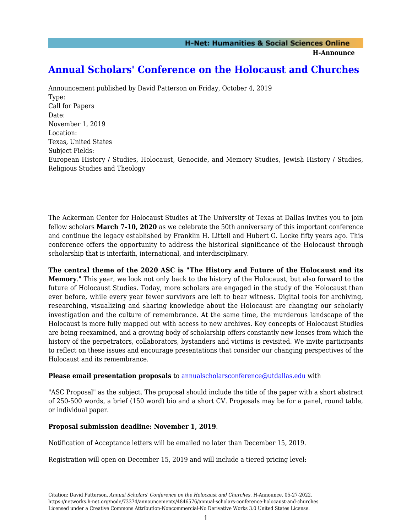**H-Announce** 

## **[Annual Scholars' Conference on the Holocaust and Churches](https://networks.h-net.org/node/73374/announcements/4846576/annual-scholars-conference-holocaust-and-churches)**

Announcement published by David Patterson on Friday, October 4, 2019 Type: Call for Papers Date: November 1, 2019 Location: Texas, United States Subject Fields: European History / Studies, Holocaust, Genocide, and Memory Studies, Jewish History / Studies, Religious Studies and Theology

The Ackerman Center for Holocaust Studies at The University of Texas at Dallas invites you to join fellow scholars **March 7-10, 2020** as we celebrate the 50th anniversary of this important conference and continue the legacy established by Franklin H. Littell and Hubert G. Locke fifty years ago. This conference offers the opportunity to address the historical significance of the Holocaust through scholarship that is interfaith, international, and interdisciplinary.

**The central theme of the 2020 ASC is "The History and Future of the Holocaust and its Memory**." This year, we look not only back to the history of the Holocaust, but also forward to the future of Holocaust Studies. Today, more scholars are engaged in the study of the Holocaust than ever before, while every year fewer survivors are left to bear witness. Digital tools for archiving, researching, visualizing and sharing knowledge about the Holocaust are changing our scholarly investigation and the culture of remembrance. At the same time, the murderous landscape of the Holocaust is more fully mapped out with access to new archives. Key concepts of Holocaust Studies are being reexamined, and a growing body of scholarship offers constantly new lenses from which the history of the perpetrators, collaborators, bystanders and victims is revisited. We invite participants to reflect on these issues and encourage presentations that consider our changing perspectives of the Holocaust and its remembrance.

## **Please email presentation proposals** to [annualscholarsconference@utdallas.edu](mailto:annualscholarsconference@utdallas.edu) with

"ASC Proposal" as the subject. The proposal should include the title of the paper with a short abstract of 250-500 words, a brief (150 word) bio and a short CV. Proposals may be for a panel, round table, or individual paper.

## **Proposal submission deadline: November 1, 2019**.

Notification of Acceptance letters will be emailed no later than December 15, 2019.

Registration will open on December 15, 2019 and will include a tiered pricing level: